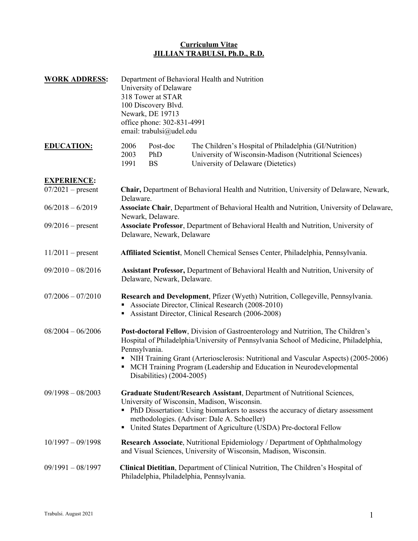| <b>WORK ADDRESS:</b>                      | Department of Behavioral Health and Nutrition<br>University of Delaware<br>318 Tower at STAR<br>100 Discovery Blvd.<br>Newark, DE 19713<br>office phone: 302-831-4991<br>email: trabulsi@udel.edu                                                                                                                                                                                             |                              |                                                                                                                                                                                                                                                                                                                                      |  |  |
|-------------------------------------------|-----------------------------------------------------------------------------------------------------------------------------------------------------------------------------------------------------------------------------------------------------------------------------------------------------------------------------------------------------------------------------------------------|------------------------------|--------------------------------------------------------------------------------------------------------------------------------------------------------------------------------------------------------------------------------------------------------------------------------------------------------------------------------------|--|--|
| <b>EDUCATION:</b>                         | 2006<br>2003<br>1991                                                                                                                                                                                                                                                                                                                                                                          | Post-doc<br>PhD<br><b>BS</b> | The Children's Hospital of Philadelphia (GI/Nutrition)<br>University of Wisconsin-Madison (Nutritional Sciences)<br>University of Delaware (Dietetics)                                                                                                                                                                               |  |  |
| <b>EXPERIENCE:</b><br>$07/2021$ – present | Delaware.                                                                                                                                                                                                                                                                                                                                                                                     |                              | Chair, Department of Behavioral Health and Nutrition, University of Delaware, Newark,                                                                                                                                                                                                                                                |  |  |
| $06/2018 - 6/2019$                        | Associate Chair, Department of Behavioral Health and Nutrition, University of Delaware,                                                                                                                                                                                                                                                                                                       |                              |                                                                                                                                                                                                                                                                                                                                      |  |  |
| $09/2016$ – present                       | Newark, Delaware.<br>Associate Professor, Department of Behavioral Health and Nutrition, University of<br>Delaware, Newark, Delaware                                                                                                                                                                                                                                                          |                              |                                                                                                                                                                                                                                                                                                                                      |  |  |
| $11/2011$ – present                       |                                                                                                                                                                                                                                                                                                                                                                                               |                              | Affiliated Scientist, Monell Chemical Senses Center, Philadelphia, Pennsylvania.                                                                                                                                                                                                                                                     |  |  |
| $09/2010 - 08/2016$                       | Assistant Professor, Department of Behavioral Health and Nutrition, University of<br>Delaware, Newark, Delaware.                                                                                                                                                                                                                                                                              |                              |                                                                                                                                                                                                                                                                                                                                      |  |  |
| $07/2006 - 07/2010$                       | Research and Development, Pfizer (Wyeth) Nutrition, Collegeville, Pennsylvania.<br>Associate Director, Clinical Research (2008-2010)<br>Assistant Director, Clinical Research (2006-2008)                                                                                                                                                                                                     |                              |                                                                                                                                                                                                                                                                                                                                      |  |  |
| $08/2004 - 06/2006$                       | Post-doctoral Fellow, Division of Gastroenterology and Nutrition, The Children's<br>Hospital of Philadelphia/University of Pennsylvania School of Medicine, Philadelphia,<br>Pennsylvania.<br>NIH Training Grant (Arteriosclerosis: Nutritional and Vascular Aspects) (2005-2006)<br>MCH Training Program (Leadership and Education in Neurodevelopmental<br>٠<br>Disabilities) $(2004-2005)$ |                              |                                                                                                                                                                                                                                                                                                                                      |  |  |
| $09/1998 - 08/2003$                       |                                                                                                                                                                                                                                                                                                                                                                                               |                              | Graduate Student/Research Assistant, Department of Nutritional Sciences,<br>University of Wisconsin, Madison, Wisconsin.<br>• PhD Dissertation: Using biomarkers to assess the accuracy of dietary assessment<br>methodologies. (Advisor: Dale A. Schoeller)<br>• United States Department of Agriculture (USDA) Pre-doctoral Fellow |  |  |
| $10/1997 - 09/1998$                       |                                                                                                                                                                                                                                                                                                                                                                                               |                              | Research Associate, Nutritional Epidemiology / Department of Ophthalmology<br>and Visual Sciences, University of Wisconsin, Madison, Wisconsin.                                                                                                                                                                                      |  |  |
| $09/1991 - 08/1997$                       | Clinical Dietitian, Department of Clinical Nutrition, The Children's Hospital of<br>Philadelphia, Philadelphia, Pennsylvania.                                                                                                                                                                                                                                                                 |                              |                                                                                                                                                                                                                                                                                                                                      |  |  |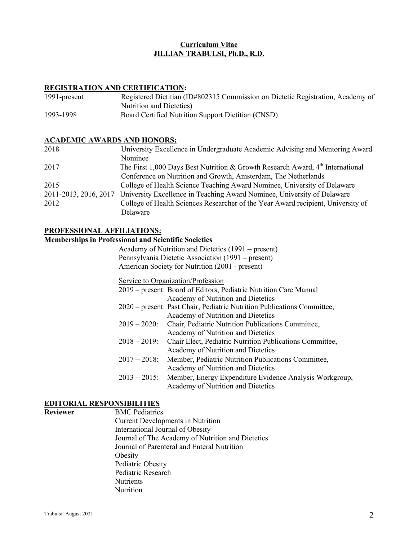#### **REGISTRATION AND CERTIFICATION:**

| 1991-present | Registered Dietitian (ID#802315 Commission on Dietetic Registration, Academy of |
|--------------|---------------------------------------------------------------------------------|
|              | Nutrition and Dietetics)                                                        |
| 1993-1998    | Board Certified Nutrition Support Dietitian (CNSD)                              |

#### **ACADEMIC AWARDS AND HONORS:**

| 2018 | University Excellence in Undergraduate Academic Advising and Mentoring Award                  |
|------|-----------------------------------------------------------------------------------------------|
|      | Nominee                                                                                       |
| 2017 | The First 1,000 Days Best Nutrition & Growth Research Award, $4th$ International              |
|      | Conference on Nutrition and Growth, Amsterdam, The Netherlands                                |
| 2015 | College of Health Science Teaching Award Nominee, University of Delaware                      |
|      | 2011-2013, 2016, 2017 University Excellence in Teaching Award Nominee, University of Delaware |
| 2012 | College of Health Sciences Researcher of the Year Award recipient, University of              |
|      | Delaware                                                                                      |

#### **PROFESSIONAL AFFILIATIONS:**

#### **Memberships in Professional and Scientific Societies**

 Academy of Nutrition and Dietetics (1991 – present) Pennsylvania Dietetic Association (1991 – present) American Society for Nutrition (2001 - present)

Service to Organization/Profession

|                 | 2019 – present: Board of Editors, Pediatric Nutrition Care Manual       |
|-----------------|-------------------------------------------------------------------------|
|                 | Academy of Nutrition and Dietetics                                      |
|                 | 2020 – present: Past Chair, Pediatric Nutrition Publications Committee, |
|                 | Academy of Nutrition and Dietetics                                      |
| $2019 - 2020$ : | Chair, Pediatric Nutrition Publications Committee,                      |
|                 | Academy of Nutrition and Dietetics                                      |
| $2018 - 2019$ : | Chair Elect, Pediatric Nutrition Publications Committee,                |
|                 | Academy of Nutrition and Dietetics                                      |
| $2017 - 2018$ : | Member, Pediatric Nutrition Publications Committee,                     |
|                 | Academy of Nutrition and Dietetics                                      |
|                 | 2013 – 2015: Member, Energy Expenditure Evidence Analysis Workgroup,    |
|                 | Academy of Nutrition and Dietetics                                      |

#### **EDITORIAL RESPONSIBILITIES**

**Reviewer** BMC Pediatrics Current Developments in Nutrition International Journal of Obesity Journal of The Academy of Nutrition and Dietetics Journal of Parenteral and Enteral Nutrition Obesity Pediatric Obesity Pediatric Research **Nutrients Nutrition**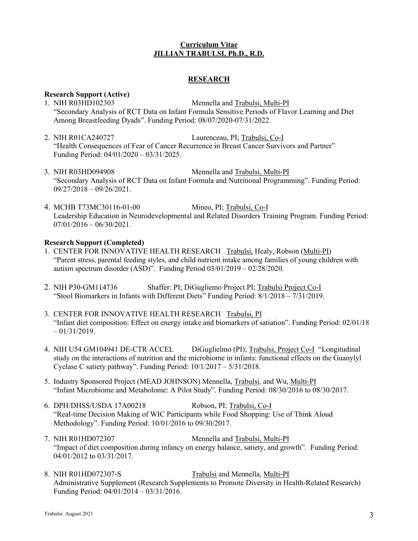## **RESEARCH**

# **Research Support (Active)**

- 1. NIH R03HD102303 Mennella and Trabulsi, Multi-PI "Secondary Analysis of RCT Data on Infant Formula Sensitive Periods of Flavor Learning and Diet Among Breastfeeding Dyads". Funding Period: 08/07/2020-07/31/2022.
- 2. NIH R01CA240727 Laurenceau, PI; Trabulsi, Co-I "Health Consequences of Fear of Cancer Recurrence in Breast Cancer Survivors and Partner" Funding Period: 04/01/2020 – 03/31/2025.
- 3. NIH R03HD094908 Mennella and Trabulsi, Multi-PI "Secondary Analysis of RCT Data on Infant Formula and Nutritional Programming". Funding Period:  $09/27/2018 - 09/26/2021$ .
- 4. MCHB T73MC30116-01-00 Mineo, PI; Trabulsi, Co-I Leadership Education in Neurodevelopmental and Related Disorders Training Program. Funding Period:  $07/01/2016 - 06/30/2021$ .

## **Research Support (Completed)**

- 1. CENTER FOR INNOVATIVE HEALTH RESEARCH Trabulsi, Healy, Robson (Multi-PI) "Parent stress, parental feeding styles, and child nutrient intake among families of young children with autism spectrum disorder (ASD)". Funding Period 03/01/2019 – 02/28/2020.
- 2. NIH P30-GM114736 Shaffer: PI; DiGugliemo Project PI; Trabulsi Project Co-I "Stool Biomarkers in Infants with Different Diets" Funding Period: 8/1/2018 – 7/31/2019.
- 3. CENTER FOR INNOVATIVE HEALTH RESEARCH Trabulsi, PI "Infant diet composition: Effect on energy intake and biomarkers of satiation". Funding Period: 02/01/18  $-01/31/2019$ .
- 4. NIH U54 GM104941 DE-CTR ACCEL DiGuglielmo (PI); Trabulsi, Project Co-I "Longitudinal study on the interactions of nutrition and the microbiome in infants: functional effects on the Guanylyl Cyclase C satiety pathway". Funding Period: 10/1/2017 – 5/31/2018.
- 5. Industry Sponsored Project (MEAD JOHNSON) Mennella, Trabulsi, and Wu, Multi-PI "Infant Microbiome and Metabolome: A Pilot Study". Funding Period: 08/30/2016 to 08/30/2017.
- 6. DPH/DHSS/USDA 17A00218 Robson, PI; Trabulsi, Co-I "Real-time Decision Making of WIC Participants while Food Shopping: Use of Think Aloud Methodology". Funding Period: 10/01/2016 to 09/30/2017.
- 7. NIH R01HD072307 Mennella and Trabulsi, Multi-PI "Impact of diet composition during infancy on energy balance, satiety, and growth". Funding Period: 04/01/2012 to 03/31/2017.
- 8. NIH R01HD072307-S Trabulsi and Mennella, Multi-PI Administrative Supplement (Research Supplements to Promote Diversity in Health-Related Research) Funding Period: 04/01/2014 – 03/31/2016.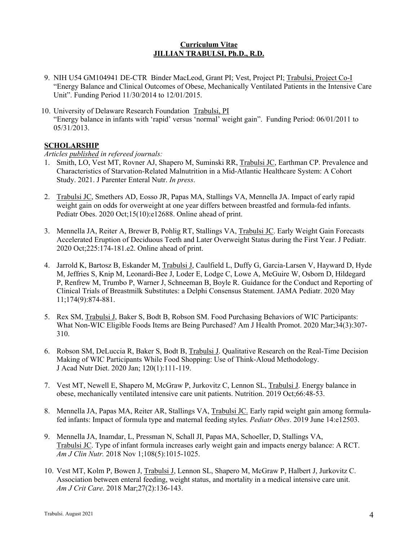- 9. NIH U54 GM104941 DE-CTR Binder MacLeod, Grant PI; Vest, Project PI; Trabulsi, Project Co-I "Energy Balance and Clinical Outcomes of Obese, Mechanically Ventilated Patients in the Intensive Care Unit". Funding Period 11/30/2014 to 12/01/2015.
- 10. University of Delaware Research Foundation Trabulsi, PI "Energy balance in infants with 'rapid' versus 'normal' weight gain". Funding Period: 06/01/2011 to 05/31/2013.

# **SCHOLARSHIP**

#### *Articles published in refereed journals:*

- 1. Smith, LO, Vest MT, Rovner AJ, Shapero M, Suminski RR, Trabulsi JC, Earthman CP. Prevalence and Characteristics of Starvation-Related Malnutrition in a Mid-Atlantic Healthcare System: A Cohort Study. 2021. J Parenter Enteral Nutr. *In press*.
- 2. Trabulsi JC, Smethers AD, Eosso JR, Papas MA, Stallings VA, Mennella JA. Impact of early rapid weight gain on odds for overweight at one year differs between breastfed and formula-fed infants. Pediatr Obes. 2020 Oct;15(10):e12688. Online ahead of print.
- 3. Mennella JA, Reiter A, Brewer B, Pohlig RT, Stallings VA, Trabulsi JC. Early Weight Gain Forecasts Accelerated Eruption of Deciduous Teeth and Later Overweight Status during the First Year. J Pediatr. 2020 Oct;225:174-181.e2. Online ahead of print.
- 4. Jarrold K, Bartosz B, Eskander M, Trabulsi J, Caulfield L, Duffy G, Garcia-Larsen V, Hayward D, Hyde M, Jeffries S, Knip M, Leonardi-Bee J, Loder E, Lodge C, Lowe A, McGuire W, Osborn D, Hildegard P, Renfrew M, Trumbo P, Warner J, Schneeman B, Boyle R. Guidance for the Conduct and Reporting of Clinical Trials of Breastmilk Substitutes: a Delphi Consensus Statement. JAMA Pediatr. 2020 May 11;174(9):874-881.
- 5. Rex SM, Trabulsi J, Baker S, Bodt B, Robson SM. Food Purchasing Behaviors of WIC Participants: What Non-WIC Eligible Foods Items are Being Purchased? Am J Health Promot. 2020 Mar;34(3):307- 310.
- 6. Robson SM, DeLuccia R, Baker S, Bodt B, Trabulsi J. Qualitative Research on the Real-Time Decision Making of WIC Participants While Food Shopping: Use of Think-Aloud Methodology. J Acad Nutr Diet. 2020 Jan; 120(1):111-119.
- 7. Vest MT, Newell E, Shapero M, McGraw P, Jurkovitz C, Lennon SL, Trabulsi J. Energy balance in obese, mechanically ventilated intensive care unit patients. Nutrition. 2019 Oct;66:48-53.
- 8. Mennella JA, Papas MA, Reiter AR, Stallings VA, Trabulsi JC. Early rapid weight gain among formulafed infants: Impact of formula type and maternal feeding styles. *Pediatr Obes*. 2019 June 14:e12503.
- 9. Mennella JA, Inamdar, L, Pressman N, Schall JI, Papas MA, Schoeller, D, Stallings VA, Trabulsi JC. Type of infant formula increases early weight gain and impacts energy balance: A RCT. *Am J Clin Nutr.* 2018 Nov 1;108(5):1015-1025.
- 10. Vest MT, Kolm P, Bowen J, Trabulsi J, Lennon SL, Shapero M, McGraw P, Halbert J, Jurkovitz C. Association between enteral feeding, weight status, and mortality in a medical intensive care unit. *Am J Crit Care*. 2018 Mar;27(2):136-143.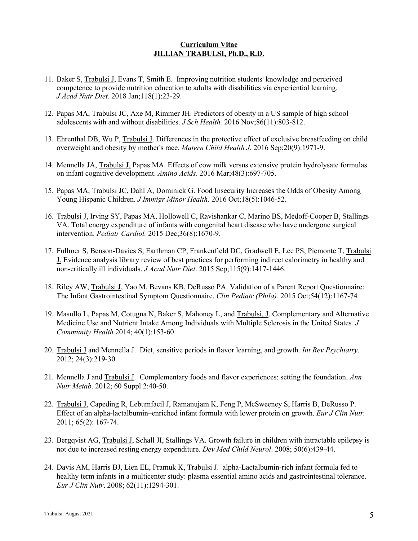- 11. Baker S, Trabulsi J, Evans T, Smith E. Improving nutrition students' knowledge and perceived competence to provide nutrition education to adults with disabilities via experiential learning. *J Acad Nutr Diet.* 2018 Jan;118(1):23-29.
- 12. Papas MA, Trabulsi JC, Axe M, Rimmer JH. Predictors of obesity in a US sample of high school adolescents with and without disabilities. *J Sch Health.* 2016 Nov;86(11):803-812.
- 13. Ehrenthal DB, Wu P, Trabulsi J. Differences in the protective effect of exclusive breastfeeding on child overweight and obesity by mother's race. *Matern Child Health J*. 2016 Sep;20(9):1971-9.
- 14. Mennella JA, Trabulsi J, Papas MA. Effects of cow milk versus extensive protein hydrolysate formulas on infant cognitive development. *Amino Acids*. 2016 Mar;48(3):697-705.
- 15. Papas MA, Trabulsi JC, Dahl A, Dominick G. Food Insecurity Increases the Odds of Obesity Among Young Hispanic Children. *J Immigr Minor Health*. 2016 Oct;18(5):1046-52.
- 16. Trabulsi J, Irving SY, Papas MA, Hollowell C, Ravishankar C, Marino BS, Medoff-Cooper B, Stallings VA. Total energy expenditure of infants with congenital heart disease who have undergone surgical intervention. *Pediatr Cardiol.* 2015 Dec;36(8):1670-9.
- 17. Fullmer S, Benson-Davies S, Earthman CP, Frankenfield DC, Gradwell E, Lee PS, Piemonte T, Trabulsi J. Evidence analysis library review of best practices for performing indirect calorimetry in healthy and non-critically ill individuals. *J Acad Nutr Diet*. 2015 Sep;115(9):1417-1446.
- 18. Riley AW, Trabulsi J, Yao M, Bevans KB, DeRusso PA. Validation of a Parent Report Questionnaire: The Infant Gastrointestinal Symptom Questionnaire. *Clin Pediatr (Phila).* 2015 Oct;54(12):1167-74
- 19. Masullo L, Papas M, Cotugna N, Baker S, Mahoney L, and Trabulsi, J. Complementary and Alternative Medicine Use and Nutrient Intake Among Individuals with Multiple Sclerosis in the United States*. J Community Health* 2014; 40(1):153-60.
- 20. Trabulsi J and Mennella J. Diet, sensitive periods in flavor learning, and growth. *Int Rev Psychiatry*. 2012; 24(3):219-30.
- 21. Mennella J and Trabulsi J. Complementary foods and flavor experiences: setting the foundation. *Ann Nutr Metab*. 2012; 60 Suppl 2:40-50.
- 22. Trabulsi J, Capeding R, Lebumfacil J, Ramanujam K, Feng P, McSweeney S, Harris B, DeRusso P. Effect of an alpha-lactalbumin–enriched infant formula with lower protein on growth. *Eur J Clin Nutr.* 2011; 65(2): 167-74.
- 23. Bergqvist AG, Trabulsi J, Schall JI, Stallings VA. Growth failure in children with intractable epilepsy is not due to increased resting energy expenditure. *Dev Med Child Neurol*. 2008; 50(6):439-44.
- 24. Davis AM, Harris BJ, Lien EL, Pramuk K, Trabulsi J. alpha-Lactalbumin-rich infant formula fed to healthy term infants in a multicenter study: plasma essential amino acids and gastrointestinal tolerance. *Eur J Clin Nutr*. 2008; 62(11):1294-301.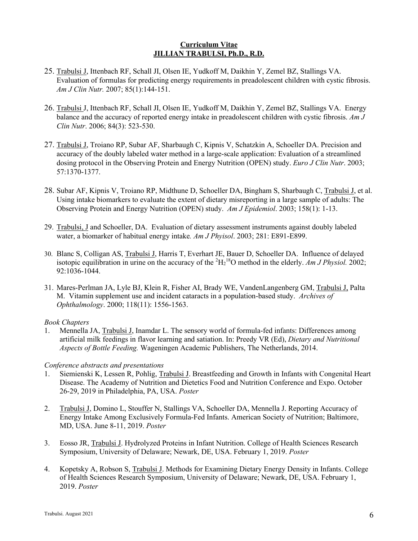- 25. Trabulsi J, Ittenbach RF, Schall JI, Olsen IE, Yudkoff M, Daikhin Y, Zemel BZ, Stallings VA. Evaluation of formulas for predicting energy requirements in preadolescent children with cystic fibrosis. *Am J Clin Nutr.* 2007; 85(1):144-151.
- 26. Trabulsi J, Ittenbach RF, Schall JI, Olsen IE, Yudkoff M, Daikhin Y, Zemel BZ, Stallings VA. Energy balance and the accuracy of reported energy intake in preadolescent children with cystic fibrosis. *Am J Clin Nutr*. 2006; 84(3): 523-530.
- 27. Trabulsi J, Troiano RP, Subar AF, Sharbaugh C, Kipnis V, Schatzkin A, Schoeller DA. Precision and accuracy of the doubly labeled water method in a large-scale application: Evaluation of a streamlined dosing protocol in the Observing Protein and Energy Nutrition (OPEN) study. *Euro J Clin Nutr*. 2003; 57:1370-1377.
- 28. Subar AF, Kipnis V, Troiano RP, Midthune D, Schoeller DA, Bingham S, Sharbaugh C, Trabulsi J, et al. Using intake biomarkers to evaluate the extent of dietary misreporting in a large sample of adults: The Observing Protein and Energy Nutrition (OPEN) study. *Am J Epidemiol*. 2003; 158(1): 1-13.
- 29. Trabulsi, J and Schoeller, DA. Evaluation of dietary assessment instruments against doubly labeled water, a biomarker of habitual energy intake*. Am J Phyisol*. 2003; 281: E891-E899.
- 30. Blanc S, Colligan AS, Trabulsi J, Harris T, Everhart JE, Bauer D, Schoeller DA. Influence of delayed isotopic equilibration in urine on the accuracy of the  ${}^{2}H_{2}{}^{18}O$  method in the elderly. *Am J Physiol.* 2002; 92:1036-1044.
- 31. Mares-Perlman JA, Lyle BJ, Klein R, Fisher AI, Brady WE, VandenLangenberg GM, Trabulsi J, Palta M. Vitamin supplement use and incident cataracts in a population-based study. *Archives of Ophthalmology*. 2000; 118(11): 1556-1563.

## *Book Chapters*

1. Mennella JA, Trabulsi J, Inamdar L. The sensory world of formula-fed infants: Differences among artificial milk feedings in flavor learning and satiation. In: Preedy VR (Ed), *Dietary and Nutritional Aspects of Bottle Feeding.* Wageningen Academic Publishers, The Netherlands, 2014.

# *Conference abstracts and presentations*

- 1. Siemienski K, Lessen R, Pohlig, Trabulsi J. Breastfeeding and Growth in Infants with Congenital Heart Disease. The Academy of Nutrition and Dietetics Food and Nutrition Conference and Expo. October 26-29, 2019 in Philadelphia, PA, USA. *Poster*
- 2. Trabulsi J, Domino L, Stouffer N, Stallings VA, Schoeller DA, Mennella J. Reporting Accuracy of Energy Intake Among Exclusively Formula-Fed Infants. American Society of Nutrition; Baltimore, MD, USA. June 8-11, 2019. *Poster*
- 3. Eosso JR, Trabulsi J. Hydrolyzed Proteins in Infant Nutrition. College of Health Sciences Research Symposium, University of Delaware; Newark, DE, USA. February 1, 2019. *Poster*
- 4. Kopetsky A, Robson S, Trabulsi J. Methods for Examining Dietary Energy Density in Infants. College of Health Sciences Research Symposium, University of Delaware; Newark, DE, USA. February 1, 2019. *Poster*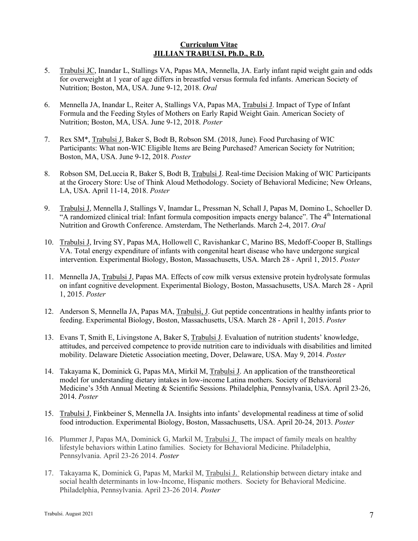- 5. Trabulsi JC, Inandar L, Stallings VA, Papas MA, Mennella, JA. Early infant rapid weight gain and odds for overweight at 1 year of age differs in breastfed versus formula fed infants. American Society of Nutrition; Boston, MA, USA. June 9-12, 2018. *Oral*
- 6. Mennella JA, Inandar L, Reiter A, Stallings VA, Papas MA, Trabulsi J. Impact of Type of Infant Formula and the Feeding Styles of Mothers on Early Rapid Weight Gain. American Society of Nutrition; Boston, MA, USA. June 9-12, 2018. *Poster*
- 7. Rex SM\*, Trabulsi J, Baker S, Bodt B, Robson SM. (2018, June). Food Purchasing of WIC Participants: What non-WIC Eligible Items are Being Purchased? American Society for Nutrition; Boston, MA, USA. June 9-12, 2018. *Poster*
- 8. Robson SM, DeLuccia R, Baker S, Bodt B, Trabulsi J. Real-time Decision Making of WIC Participants at the Grocery Store: Use of Think Aloud Methodology. Society of Behavioral Medicine; New Orleans, LA, USA. April 11-14, 2018. *Poster*
- 9. Trabulsi J, Mennella J, Stallings V, Inamdar L, Pressman N, Schall J, Papas M, Domino L, Schoeller D. "A randomized clinical trial: Infant formula composition impacts energy balance". The  $4<sup>th</sup>$  International Nutrition and Growth Conference. Amsterdam, The Netherlands. March 2-4, 2017. *Oral*
- 10. Trabulsi J, Irving SY, Papas MA, Hollowell C, Ravishankar C, Marino BS, Medoff-Cooper B, Stallings VA. Total energy expenditure of infants with congenital heart disease who have undergone surgical intervention. Experimental Biology, Boston, Massachusetts, USA. March 28 - April 1, 2015. *Poster*
- 11. Mennella JA, Trabulsi J, Papas MA. Effects of cow milk versus extensive protein hydrolysate formulas on infant cognitive development. Experimental Biology, Boston, Massachusetts, USA. March 28 - April 1, 2015. *Poster*
- 12. Anderson S, Mennella JA, Papas MA, Trabulsi, J. Gut peptide concentrations in healthy infants prior to feeding. Experimental Biology, Boston, Massachusetts, USA. March 28 - April 1, 2015. *Poster*
- 13. Evans T, Smith E, Livingstone A, Baker S, Trabulsi J. Evaluation of nutrition students' knowledge, attitudes, and perceived competence to provide nutrition care to individuals with disabilities and limited mobility. Delaware Dietetic Association meeting, Dover, Delaware, USA. May 9, 2014. *Poster*
- 14. Takayama K, Dominick G, Papas MA, Mirkil M, Trabulsi J. An application of the transtheoretical model for understanding dietary intakes in low-income Latina mothers. Society of Behavioral Medicine's 35th Annual Meeting & Scientific Sessions. Philadelphia, Pennsylvania, USA. April 23-26, 2014. *Poster*
- 15. Trabulsi J, Finkbeiner S, Mennella JA. Insights into infants' developmental readiness at time of solid food introduction. Experimental Biology, Boston, Massachusetts, USA. April 20-24, 2013. *Poster*
- 16. Plummer J, Papas MA, Dominick G, Markil M, Trabulsi J. The impact of family meals on healthy lifestyle behaviors within Latino families. Society for Behavioral Medicine. Philadelphia, Pennsylvania. April 23-26 2014. *Poster*
- 17. Takayama K, Dominick G, Papas M, Markil M, Trabulsi J. Relationship between dietary intake and social health determinants in low-Income, Hispanic mothers. Society for Behavioral Medicine. Philadelphia, Pennsylvania. April 23-26 2014. *Poster*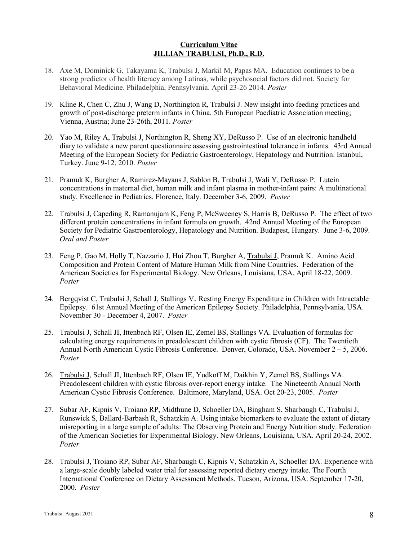- 18. Axe M, Dominick G, Takayama K, Trabulsi J, Markil M, Papas MA. Education continues to be a strong predictor of health literacy among Latinas, while psychosocial factors did not. Society for Behavioral Medicine. Philadelphia, Pennsylvania. April 23-26 2014. *Poster*
- 19. Kline R, Chen C, Zhu J, Wang D, Northington R, Trabulsi J. New insight into feeding practices and growth of post-discharge preterm infants in China. 5th European Paediatric Association meeting; Vienna, Austria; June 23-26th, 2011. *Poster*
- 20. Yao M, Riley A, Trabulsi J, Northington R, Sheng XY, DeRusso P. Use of an electronic handheld diary to validate a new parent questionnaire assessing gastrointestinal tolerance in infants. 43rd Annual Meeting of the European Society for Pediatric Gastroenterology, Hepatology and Nutrition. Istanbul, Turkey. June 9-12, 2010. *Poster*
- 21. Pramuk K, Burgher A, Ramirez-Mayans J, Sablon B, Trabulsi J, Wali Y, DeRusso P. Lutein concentrations in maternal diet, human milk and infant plasma in mother-infant pairs: A multinational study. Excellence in Pediatrics. Florence, Italy. December 3-6, 2009. *Poster*
- 22. Trabulsi J, Capeding R, Ramanujam K, Feng P, McSweeney S, Harris B, DeRusso P. The effect of two different protein concentrations in infant formula on growth. 42nd Annual Meeting of the European Society for Pediatric Gastroenterology, Hepatology and Nutrition. Budapest, Hungary. June 3-6, 2009. *Oral and Poster*
- 23. Feng P, Gao M, Holly T, Nazzario J, Hui Zhou T, Burgher A, Trabulsi J, Pramuk K. Amino Acid Composition and Protein Content of Mature Human Milk from Nine Countries. Federation of the American Societies for Experimental Biology. New Orleans, Louisiana, USA. April 18-22, 2009. *Poster*
- 24. Bergqvist C, Trabulsi J, Schall J, Stallings V. Resting Energy Expenditure in Children with Intractable Epilepsy. 61st Annual Meeting of the American Epilepsy Society. Philadelphia, Pennsylvania, USA. November 30 - December 4, 2007. *Poster*
- 25. Trabulsi J, Schall JI, Ittenbach RF, Olsen IE, Zemel BS, Stallings VA. Evaluation of formulas for calculating energy requirements in preadolescent children with cystic fibrosis (CF). The Twentieth Annual North American Cystic Fibrosis Conference. Denver, Colorado, USA. November 2 – 5, 2006. *Poster*
- 26. Trabulsi J, Schall JI, Ittenbach RF, Olsen IE, Yudkoff M, Daikhin Y, Zemel BS, Stallings VA. Preadolescent children with cystic fibrosis over-report energy intake. The Nineteenth Annual North American Cystic Fibrosis Conference. Baltimore, Maryland, USA. Oct 20-23, 2005. *Poster*
- 27. Subar AF, Kipnis V, Troiano RP, Midthune D, Schoeller DA, Bingham S, Sharbaugh C, Trabulsi J, Runswick S, Ballard-Barbash R, Schatzkin A. Using intake biomarkers to evaluate the extent of dietary misreporting in a large sample of adults: The Observing Protein and Energy Nutrition study. Federation of the American Societies for Experimental Biology. New Orleans, Louisiana, USA. April 20-24, 2002. *Poster*
- 28. Trabulsi J, Troiano RP, Subar AF, Sharbaugh C, Kipnis V, Schatzkin A, Schoeller DA. Experience with a large-scale doubly labeled water trial for assessing reported dietary energy intake. The Fourth International Conference on Dietary Assessment Methods. Tucson, Arizona, USA. September 17-20, 2000. *Poster*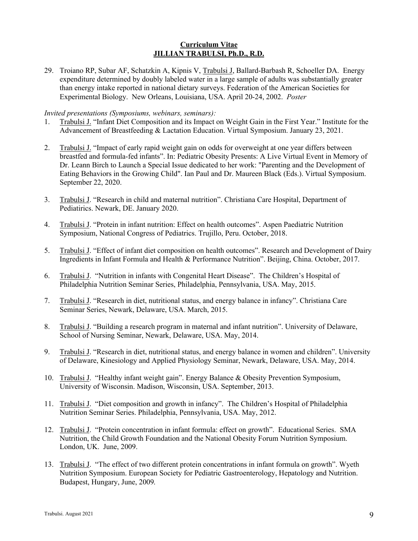29. Troiano RP, Subar AF, Schatzkin A, Kipnis V, Trabulsi J, Ballard-Barbash R, Schoeller DA. Energy expenditure determined by doubly labeled water in a large sample of adults was substantially greater than energy intake reported in national dietary surveys. Federation of the American Societies for Experimental Biology. New Orleans, Louisiana, USA. April 20-24, 2002. *Poster*

#### *Invited presentations (Symposiums, webinars, seminars):*

- 1. Trabulsi J. "Infant Diet Composition and its Impact on Weight Gain in the First Year." Institute for the Advancement of Breastfeeding & Lactation Education. Virtual Symposium. January 23, 2021.
- 2. Trabulsi J. "Impact of early rapid weight gain on odds for overweight at one year differs between breastfed and formula-fed infants". In: Pediatric Obesity Presents: A Live Virtual Event in Memory of Dr. Leann Birch to Launch a Special Issue dedicated to her work: "Parenting and the Development of Eating Behaviors in the Growing Child". Ian Paul and Dr. Maureen Black (Eds.). Virtual Symposium. September 22, 2020.
- 3. Trabulsi J. "Research in child and maternal nutrition". Christiana Care Hospital, Department of Pediatirics. Newark, DE. January 2020.
- 4. Trabulsi J. "Protein in infant nutrition: Effect on health outcomes". Aspen Paediatric Nutrition Symposium, National Congress of Pediatrics. Trujillo, Peru. October, 2018.
- 5. Trabulsi J. "Effect of infant diet composition on health outcomes". Research and Development of Dairy Ingredients in Infant Formula and Health & Performance Nutrition". Beijing, China. October, 2017.
- 6. Trabulsi J. "Nutrition in infants with Congenital Heart Disease". The Children's Hospital of Philadelphia Nutrition Seminar Series, Philadelphia, Pennsylvania, USA. May, 2015.
- 7. Trabulsi J. "Research in diet, nutritional status, and energy balance in infancy". Christiana Care Seminar Series, Newark, Delaware, USA. March, 2015.
- 8. Trabulsi J. "Building a research program in maternal and infant nutrition". University of Delaware, School of Nursing Seminar, Newark, Delaware, USA. May, 2014.
- 9. Trabulsi J. "Research in diet, nutritional status, and energy balance in women and children". University of Delaware, Kinesiology and Applied Physiology Seminar, Newark, Delaware, USA. May, 2014.
- 10. Trabulsi J. "Healthy infant weight gain". Energy Balance & Obesity Prevention Symposium, University of Wisconsin. Madison, Wisconsin, USA. September, 2013.
- 11. Trabulsi J. "Diet composition and growth in infancy". The Children's Hospital of Philadelphia Nutrition Seminar Series. Philadelphia, Pennsylvania, USA. May, 2012.
- 12. Trabulsi J. "Protein concentration in infant formula: effect on growth". Educational Series. SMA Nutrition, the Child Growth Foundation and the National Obesity Forum Nutrition Symposium. London, UK. June, 2009.
- 13. Trabulsi J. "The effect of two different protein concentrations in infant formula on growth". Wyeth Nutrition Symposium. European Society for Pediatric Gastroenterology, Hepatology and Nutrition. Budapest, Hungary, June, 2009*.*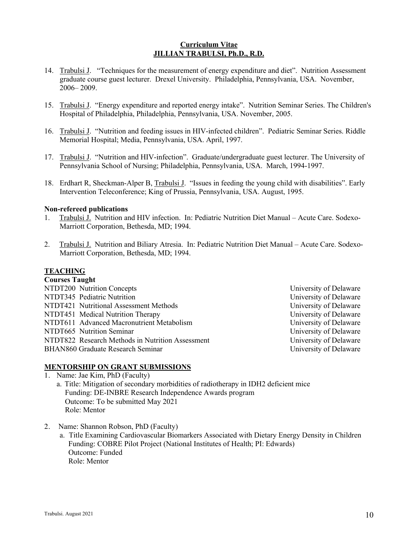- 14. Trabulsi J. "Techniques for the measurement of energy expenditure and diet". Nutrition Assessment graduate course guest lecturer. Drexel University. Philadelphia, Pennsylvania, USA. November, 2006– 2009.
- 15. Trabulsi J. "Energy expenditure and reported energy intake". Nutrition Seminar Series. The Children's Hospital of Philadelphia, Philadelphia, Pennsylvania, USA. November, 2005.
- 16. Trabulsi J. "Nutrition and feeding issues in HIV-infected children". Pediatric Seminar Series. Riddle Memorial Hospital; Media, Pennsylvania, USA. April, 1997.
- 17. Trabulsi J. "Nutrition and HIV-infection". Graduate/undergraduate guest lecturer. The University of Pennsylvania School of Nursing; Philadelphia, Pennsylvania, USA. March, 1994-1997.
- 18. Erdhart R, Sheckman-Alper B, Trabulsi J. "Issues in feeding the young child with disabilities". Early Intervention Teleconference; King of Prussia, Pennsylvania, USA. August, 1995.

#### **Non-refereed publications**

- 1. Trabulsi J. Nutrition and HIV infection. In: Pediatric Nutrition Diet Manual Acute Care. Sodexo-Marriott Corporation, Bethesda, MD; 1994.
- 2. Trabulsi J. Nutrition and Biliary Atresia. In: Pediatric Nutrition Diet Manual Acute Care. Sodexo-Marriott Corporation, Bethesda, MD; 1994.

# **TEACHING**

| <b>Courses Taught</b>                            |                        |
|--------------------------------------------------|------------------------|
| NTDT200 Nutrition Concepts                       | University of Delaware |
| NTDT345 Pediatric Nutrition                      | University of Delaware |
| NTDT421 Nutritional Assessment Methods           | University of Delaware |
| NTDT451 Medical Nutrition Therapy                | University of Delaware |
| NTDT611 Advanced Macronutrient Metabolism        | University of Delaware |
| NTDT665 Nutrition Seminar                        | University of Delaware |
| NTDT822 Research Methods in Nutrition Assessment | University of Delaware |
| BHAN860 Graduate Research Seminar                | University of Delaware |
|                                                  |                        |

#### **MENTORSHIP ON GRANT SUBMISSIONS**

- 1. Name: Jae Kim, PhD (Faculty)
	- a. Title: Mitigation of secondary morbidities of radiotherapy in IDH2 deficient mice Funding: DE-INBRE Research Independence Awards program Outcome: To be submitted May 2021 Role: Mentor
- 2. Name: Shannon Robson, PhD (Faculty)
	- a. Title Examining Cardiovascular Biomarkers Associated with Dietary Energy Density in Children Funding: COBRE Pilot Project (National Institutes of Health; PI: Edwards) Outcome: Funded Role: Mentor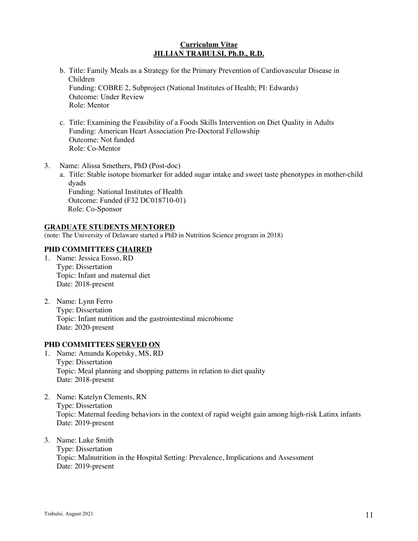- b. Title: Family Meals as a Strategy for the Primary Prevention of Cardiovascular Disease in Children Funding: COBRE 2, Subproject (National Institutes of Health; PI: Edwards) Outcome: Under Review Role: Mentor
- c. Title: Examining the Feasibility of a Foods Skills Intervention on Diet Quality in Adults Funding: American Heart Association Pre-Doctoral Fellowship Outcome: Not funded Role: Co-Mentor
- 3. Name: Alissa Smethers, PhD (Post-doc)
	- a. Title: Stable isotope biomarker for added sugar intake and sweet taste phenotypes in mother-child dyads Funding: National Institutes of Health

 Outcome: Funded (F32 DC018710-01) Role: Co-Sponsor

#### **GRADUATE STUDENTS MENTORED**

(note: The University of Delaware started a PhD in Nutrition Science program in 2018)

# **PHD COMMITTEES CHAIRED**

- 1. Name: Jessica Eosso, RD Type: Dissertation Topic: Infant and maternal diet Date: 2018-present
- 2. Name: Lynn Ferro Type: Dissertation Topic: Infant nutrition and the gastrointestinal microbiome Date: 2020-present

#### **PHD COMMITTEES SERVED ON**

- 1. Name: Amanda Kopetsky, MS, RD Type: Dissertation Topic: Meal planning and shopping patterns in relation to diet quality Date: 2018-present
- 2. Name: Katelyn Clements, RN Type: Dissertation Topic: Maternal feeding behaviors in the context of rapid weight gain among high-risk Latinx infants Date: 2019-present
- 3. Name: Luke Smith Type: Dissertation

Topic: Malnutrition in the Hospital Setting: Prevalence, Implications and Assessment Date: 2019-present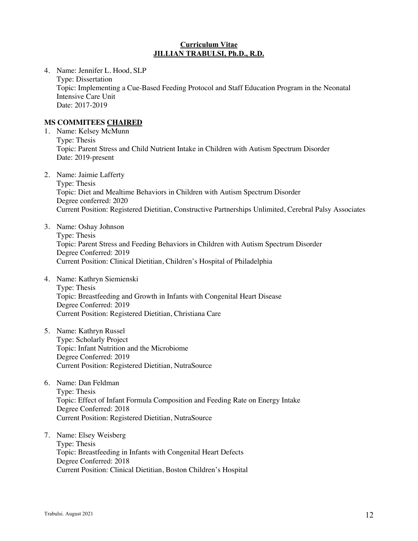4. Name: Jennifer L. Hood, SLP Type: Dissertation Topic: Implementing a Cue-Based Feeding Protocol and Staff Education Program in the Neonatal Intensive Care Unit Date: 2017-2019

# **MS COMMITEES CHAIRED**

- 1. Name: Kelsey McMunn Type: Thesis Topic: Parent Stress and Child Nutrient Intake in Children with Autism Spectrum Disorder Date: 2019-present
- 2. Name: Jaimie Lafferty

Type: Thesis Topic: Diet and Mealtime Behaviors in Children with Autism Spectrum Disorder Degree conferred: 2020 Current Position: Registered Dietitian, Constructive Partnerships Unlimited, Cerebral Palsy Associates

- 3. Name: Oshay Johnson Type: Thesis Topic: Parent Stress and Feeding Behaviors in Children with Autism Spectrum Disorder Degree Conferred: 2019 Current Position: Clinical Dietitian, Children's Hospital of Philadelphia
- 4. Name: Kathryn Siemienski Type: Thesis Topic: Breastfeeding and Growth in Infants with Congenital Heart Disease Degree Conferred: 2019 Current Position: Registered Dietitian, Christiana Care
- 5. Name: Kathryn Russel Type: Scholarly Project Topic: Infant Nutrition and the Microbiome Degree Conferred: 2019 Current Position: Registered Dietitian, NutraSource
- 6. Name: Dan Feldman Type: Thesis Topic: Effect of Infant Formula Composition and Feeding Rate on Energy Intake Degree Conferred: 2018 Current Position: Registered Dietitian, NutraSource
- 7. Name: Elsey Weisberg Type: Thesis Topic: Breastfeeding in Infants with Congenital Heart Defects Degree Conferred: 2018 Current Position: Clinical Dietitian, Boston Children's Hospital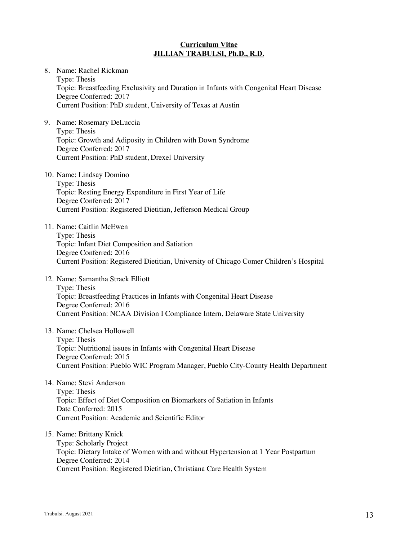8. Name: Rachel Rickman Type: Thesis Topic: Breastfeeding Exclusivity and Duration in Infants with Congenital Heart Disease Degree Conferred: 2017 Current Position: PhD student, University of Texas at Austin

9. Name: Rosemary DeLuccia Type: Thesis Topic: Growth and Adiposity in Children with Down Syndrome Degree Conferred: 2017 Current Position: PhD student, Drexel University

10. Name: Lindsay Domino Type: Thesis Topic: Resting Energy Expenditure in First Year of Life Degree Conferred: 2017 Current Position: Registered Dietitian, Jefferson Medical Group

11. Name: Caitlin McEwen Type: Thesis Topic: Infant Diet Composition and Satiation Degree Conferred: 2016 Current Position: Registered Dietitian, University of Chicago Comer Children's Hospital

12. Name: Samantha Strack Elliott Type: Thesis Topic: Breastfeeding Practices in Infants with Congenital Heart Disease Degree Conferred: 2016 Current Position: NCAA Division I Compliance Intern, Delaware State University

13. Name: Chelsea Hollowell

Type: Thesis Topic: Nutritional issues in Infants with Congenital Heart Disease Degree Conferred: 2015 Current Position: Pueblo WIC Program Manager, Pueblo City-County Health Department

14. Name: Stevi Anderson Type: Thesis Topic: Effect of Diet Composition on Biomarkers of Satiation in Infants Date Conferred: 2015 Current Position: Academic and Scientific Editor

15. Name: Brittany Knick

Type: Scholarly Project Topic: Dietary Intake of Women with and without Hypertension at 1 Year Postpartum Degree Conferred: 2014 Current Position: Registered Dietitian, Christiana Care Health System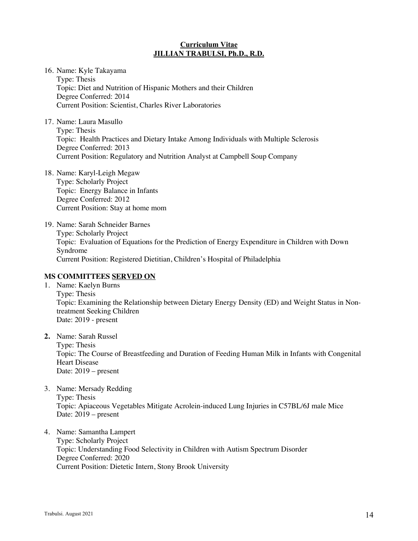16. Name: Kyle Takayama Type: Thesis Topic: Diet and Nutrition of Hispanic Mothers and their Children Degree Conferred: 2014 Current Position: Scientist, Charles River Laboratories

17. Name: Laura Masullo Type: Thesis Topic: Health Practices and Dietary Intake Among Individuals with Multiple Sclerosis Degree Conferred: 2013 Current Position: Regulatory and Nutrition Analyst at Campbell Soup Company

- 18. Name: Karyl-Leigh Megaw Type: Scholarly Project Topic: Energy Balance in Infants Degree Conferred: 2012 Current Position: Stay at home mom
- 19. Name: Sarah Schneider Barnes Type: Scholarly Project Topic: Evaluation of Equations for the Prediction of Energy Expenditure in Children with Down Syndrome Current Position: Registered Dietitian, Children's Hospital of Philadelphia

# **MS COMMITTEES SERVED ON**

- 1. Name: Kaelyn Burns Type: Thesis Topic: Examining the Relationship between Dietary Energy Density (ED) and Weight Status in Nontreatment Seeking Children Date: 2019 - present
- **2.** Name: Sarah Russel Type: Thesis Topic: The Course of Breastfeeding and Duration of Feeding Human Milk in Infants with Congenital Heart Disease Date: 2019 – present
- 3. Name: Mersady Redding Type: Thesis Topic: Apiaceous Vegetables Mitigate Acrolein-induced Lung Injuries in C57BL/6J male Mice Date: 2019 – present
- 4. Name: Samantha Lampert Type: Scholarly Project Topic: Understanding Food Selectivity in Children with Autism Spectrum Disorder Degree Conferred: 2020 Current Position: Dietetic Intern, Stony Brook University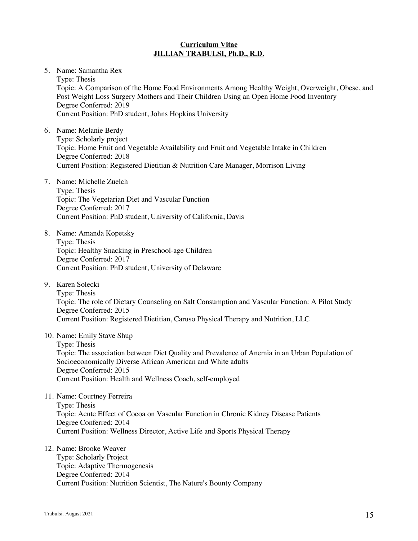5. Name: Samantha Rex

Type: Thesis Topic: A Comparison of the Home Food Environments Among Healthy Weight, Overweight, Obese, and Post Weight Loss Surgery Mothers and Their Children Using an Open Home Food Inventory Degree Conferred: 2019 Current Position: PhD student, Johns Hopkins University

- 6. Name: Melanie Berdy Type: Scholarly project Topic: Home Fruit and Vegetable Availability and Fruit and Vegetable Intake in Children Degree Conferred: 2018 Current Position: Registered Dietitian & Nutrition Care Manager, Morrison Living
- 7. Name: Michelle Zuelch Type: Thesis Topic: The Vegetarian Diet and Vascular Function Degree Conferred: 2017 Current Position: PhD student, University of California, Davis
- 8. Name: Amanda Kopetsky Type: Thesis Topic: Healthy Snacking in Preschool-age Children Degree Conferred: 2017 Current Position: PhD student, University of Delaware
- 9. Karen Solecki Type: Thesis Topic: The role of Dietary Counseling on Salt Consumption and Vascular Function: A Pilot Study Degree Conferred: 2015 Current Position: Registered Dietitian, Caruso Physical Therapy and Nutrition, LLC

10. Name: Emily Stave Shup

Type: Thesis Topic: The association between Diet Quality and Prevalence of Anemia in an Urban Population of Socioeconomically Diverse African American and White adults Degree Conferred: 2015 Current Position: Health and Wellness Coach, self-employed

11. Name: Courtney Ferreira Type: Thesis Topic: Acute Effect of Cocoa on Vascular Function in Chronic Kidney Disease Patients Degree Conferred: 2014 Current Position: Wellness Director, Active Life and Sports Physical Therapy

## 12. Name: Brooke Weaver

Type: Scholarly Project Topic: Adaptive Thermogenesis Degree Conferred: 2014 Current Position: Nutrition Scientist, The Nature's Bounty Company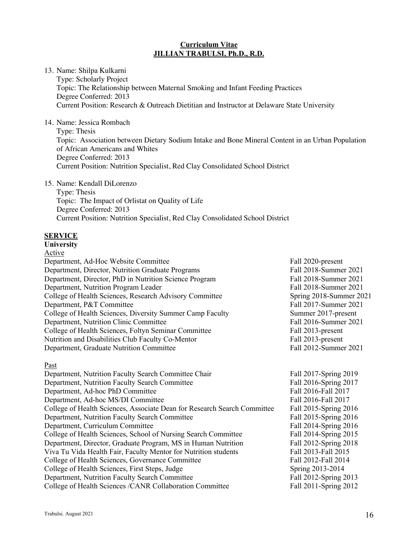13. Name: Shilpa Kulkarni

Type: Scholarly Project Topic: The Relationship between Maternal Smoking and Infant Feeding Practices Degree Conferred: 2013 Current Position: Research & Outreach Dietitian and Instructor at Delaware State University

14. Name: Jessica Rombach

Type: Thesis Topic: Association between Dietary Sodium Intake and Bone Mineral Content in an Urban Population of African Americans and Whites Degree Conferred: 2013 Current Position: Nutrition Specialist, Red Clay Consolidated School District

15. Name: Kendall DiLorenzo

Type: Thesis Topic: The Impact of Orlistat on Quality of Life Degree Conferred: 2013 Current Position: Nutrition Specialist, Red Clay Consolidated School District

# **SERVICE**

# **University**

| Active                                                    |                         |
|-----------------------------------------------------------|-------------------------|
| Department, Ad-Hoc Website Committee                      | Fall 2020-present       |
| Department, Director, Nutrition Graduate Programs         | Fall 2018-Summer 2021   |
| Department, Director, PhD in Nutrition Science Program    | Fall 2018-Summer 2021   |
| Department, Nutrition Program Leader                      | Fall 2018-Summer 2021   |
| College of Health Sciences, Research Advisory Committee   | Spring 2018-Summer 2021 |
| Department, P&T Committee                                 | Fall 2017-Summer 2021   |
| College of Health Sciences, Diversity Summer Camp Faculty | Summer 2017-present     |
| Department, Nutrition Clinic Committee                    | Fall 2016-Summer 2021   |
| College of Health Sciences, Foltyn Seminar Committee      | Fall 2013-present       |
| Nutrition and Disabilities Club Faculty Co-Mentor         | Fall 2013-present       |
| Department, Graduate Nutrition Committee                  | Fall 2012-Summer 2021   |
| Past                                                      |                         |
| Department, Nutrition Faculty Search Committee Chair      | Fall 2017-Spring 2019   |
| Department, Nutrition Faculty Search Committee            | Fall 2016-Spring 2017   |

Department, Ad-hoc PhD Committee Fall 2016-Fall 2017 Department, Ad-hoc MS/DI Committee Fall 2016-Fall 2017 College of Health Sciences, Associate Dean for Research Search Committee Fall 2015-Spring 2016 Department, Nutrition Faculty Search Committee Fall 2015-Spring 2016 Department, Curriculum Committee Fall 2014-Spring 2016 College of Health Sciences, School of Nursing Search Committee Fall 2014-Spring 2015 Department, Director, Graduate Program, MS in Human Nutrition Fall 2012-Spring 2018 Viva Tu Vida Health Fair, Faculty Mentor for Nutrition students Fall 2013-Fall 2015 College of Health Sciences, Governance Committee Fall 2012-Fall 2014 College of Health Sciences, First Steps, Judge Spring 2013-2014 Department, Nutrition Faculty Search Committee Fall 2012-Spring 2013 College of Health Sciences /CANR Collaboration Committee Fall 2011-Spring 2012